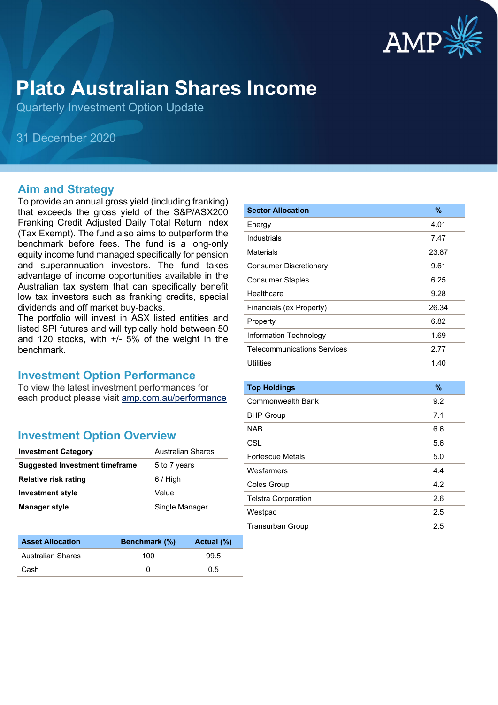

# **Plato Australian Shares Income**

Quarterly Investment Option Update

31 December 2020

#### **Aim and Strategy**

To provide an annual gross yield (including franking) that exceeds the gross yield of the S&P/ASX200 Franking Credit Adjusted Daily Total Return Index (Tax Exempt). The fund also aims to outperform the benchmark before fees. The fund is a long-only equity income fund managed specifically for pension and superannuation investors. The fund takes advantage of income opportunities available in the Australian tax system that can specifically benefit low tax investors such as franking credits, special dividends and off market buy-backs.

The portfolio will invest in ASX listed entities and listed SPI futures and will typically hold between 50 and 120 stocks, with +/- 5% of the weight in the benchmark.

#### **Investment Option Performance**

To view the latest investment performances for each product please visit [amp.com.au/performance](https://www.amp.com.au/performance)

## **Investment Option Overview**

| <b>Investment Category</b>     | Australian Shares |
|--------------------------------|-------------------|
| Suggested Investment timeframe | 5 to 7 years      |
| <b>Relative risk rating</b>    | $6/$ High         |
| <b>Investment style</b>        | Value             |
| <b>Manager style</b>           | Single Manager    |

| <b>Asset Allocation</b> | <b>Benchmark</b> (%) | Actual (%) |
|-------------------------|----------------------|------------|
| Australian Shares       | 100                  | 99.5       |
| Cash                    |                      | 0 5        |

| <b>Sector Allocation</b>           | %     |
|------------------------------------|-------|
| Energy                             | 4.01  |
| Industrials                        | 7.47  |
| <b>Materials</b>                   | 23.87 |
| <b>Consumer Discretionary</b>      | 9.61  |
| <b>Consumer Staples</b>            | 6.25  |
| Healthcare                         | 9.28  |
| Financials (ex Property)           | 26.34 |
| Property                           | 6.82  |
| Information Technology             | 1.69  |
| <b>Telecommunications Services</b> | 2.77  |
| <b>Utilities</b>                   | 1.40  |
|                                    |       |
| <b>Top Holdings</b>                | %     |
| <b>Commonwealth Bank</b>           | 9.2   |
| <b>BHP Group</b>                   | 7.1   |
| <b>NAB</b>                         | 6.6   |
| CSL                                | 5.6   |
| <b>Fortescue Metals</b>            | 5.0   |
| Wesfarmers                         | 4.4   |
| Coles Group                        | 4.2   |
| <b>Telstra Corporation</b>         | 2.6   |
| Westpac                            | 2.5   |
| <b>Transurban Group</b>            | 2.5   |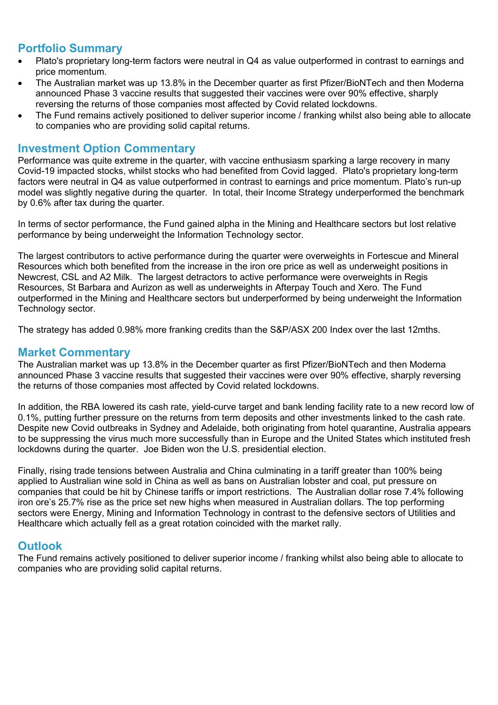#### **Portfolio Summary**

- Plato's proprietary long-term factors were neutral in Q4 as value outperformed in contrast to earnings and price momentum.
- The Australian market was up 13.8% in the December quarter as first Pfizer/BioNTech and then Moderna announced Phase 3 vaccine results that suggested their vaccines were over 90% effective, sharply reversing the returns of those companies most affected by Covid related lockdowns.
- The Fund remains actively positioned to deliver superior income / franking whilst also being able to allocate to companies who are providing solid capital returns.

#### **Investment Option Commentary**

Performance was quite extreme in the quarter, with vaccine enthusiasm sparking a large recovery in many Covid-19 impacted stocks, whilst stocks who had benefited from Covid lagged. Plato's proprietary long-term factors were neutral in Q4 as value outperformed in contrast to earnings and price momentum. Plato's run-up model was slightly negative during the quarter. In total, their Income Strategy underperformed the benchmark by 0.6% after tax during the quarter.

In terms of sector performance, the Fund gained alpha in the Mining and Healthcare sectors but lost relative performance by being underweight the Information Technology sector.

The largest contributors to active performance during the quarter were overweights in Fortescue and Mineral Resources which both benefited from the increase in the iron ore price as well as underweight positions in Newcrest, CSL and A2 Milk. The largest detractors to active performance were overweights in Regis Resources, St Barbara and Aurizon as well as underweights in Afterpay Touch and Xero. The Fund outperformed in the Mining and Healthcare sectors but underperformed by being underweight the Information Technology sector.

The strategy has added 0.98% more franking credits than the S&P/ASX 200 Index over the last 12mths.

#### **Market Commentary**

The Australian market was up 13.8% in the December quarter as first Pfizer/BioNTech and then Moderna announced Phase 3 vaccine results that suggested their vaccines were over 90% effective, sharply reversing the returns of those companies most affected by Covid related lockdowns.

In addition, the RBA lowered its cash rate, yield-curve target and bank lending facility rate to a new record low of 0.1%, putting further pressure on the returns from term deposits and other investments linked to the cash rate. Despite new Covid outbreaks in Sydney and Adelaide, both originating from hotel quarantine, Australia appears to be suppressing the virus much more successfully than in Europe and the United States which instituted fresh lockdowns during the quarter. Joe Biden won the U.S. presidential election.

Finally, rising trade tensions between Australia and China culminating in a tariff greater than 100% being applied to Australian wine sold in China as well as bans on Australian lobster and coal, put pressure on companies that could be hit by Chinese tariffs or import restrictions. The Australian dollar rose 7.4% following iron ore's 25.7% rise as the price set new highs when measured in Australian dollars. The top performing sectors were Energy, Mining and Information Technology in contrast to the defensive sectors of Utilities and Healthcare which actually fell as a great rotation coincided with the market rally.

#### **Outlook**

The Fund remains actively positioned to deliver superior income / franking whilst also being able to allocate to companies who are providing solid capital returns.